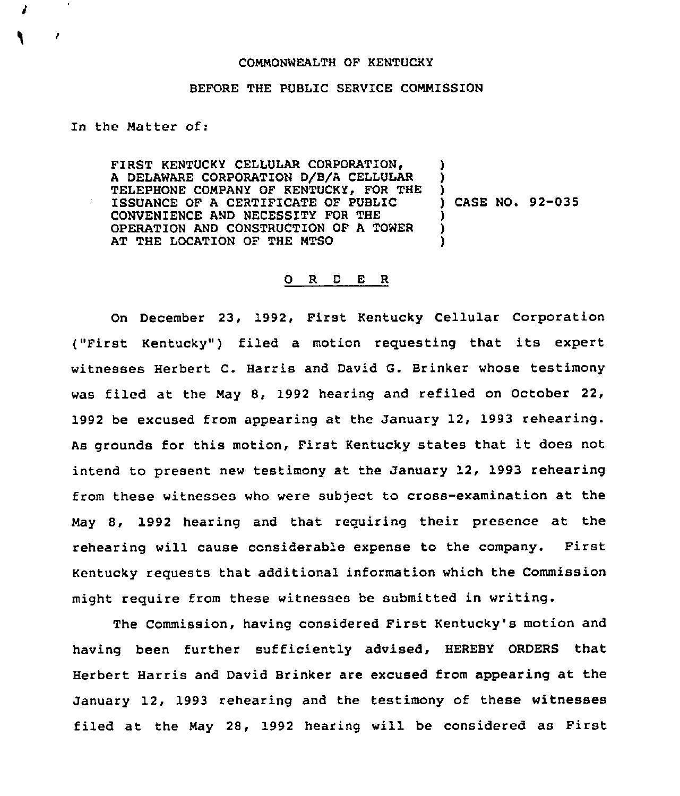## COMMONWEALTH OF KENTUCKY

## BEFORE THE PUBLIC SERVICE COMMISSION

## In the Matter of:

FIRST KENTUCKY CELLULAR CORPORATION, A DELAWARE CORPORATION D/B/A CELLULAR TELEPHONE COMPANY OF KENTUCKY, FOR THE ISSUANCE OF A CERTIFICATE OF PUBLIC CONVENIENCE AND NECESSITY FOR THE OPERATION AND CONSTRUCTION OF A TOWER AT THE LOCATION OF THE MTSO ) ) ) ) CASE NO. 92-035 ) ) )

## 0 <sup>R</sup> <sup>D</sup> E <sup>R</sup>

On December 23, 1992, First Kentucky Cellular Corporation ("First Kentucky") filed a motion requesting that its expert witnesses Herbert C. Harris and David G. Brinker whose testimony was filed at the May 8, 1992 hearing and refiled on October 22, 1992 be excused from appearing at the January 12, 1993 rehearing. As grounds for this motion, First Kentucky states that it does not intend to present new testimony at the January 12, 1993 rehearing from these witnesses who were subject to cross-examination at the May 8, 1992 hearing and that requiring their presence at the rehearing will cause considerable expense to the company. First Kentucky requests that additional information which the Commission might require from these witnesses be submitted in writing.

The Commission, having considered First Kentucky's motion and having been further sufficiently advised, HEREBY ORDERS that Herbert Harris and David Brinker are excused from appearing at the January 12, 1993 rehearing and the testimony of these witnesses filed at the May 28, 1992 hearing will be considered as First